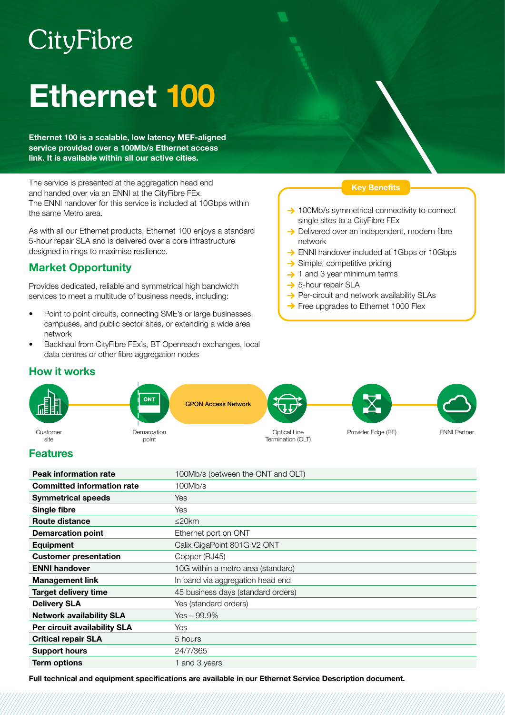# CityFibre

# Ethernet 100

Ethernet 100 is a scalable, low latency MEF-aligned service provided over a 100Mb/s Ethernet access link. It is available within all our active cities.

The service is presented at the aggregation head end and handed over via an ENNI at the CityFibre FEx. The ENNI handover for this service is included at 10Gbps within the same Metro area.

As with all our Ethernet products, Ethernet 100 enjoys a standard 5-hour repair SLA and is delivered over a core infrastructure designed in rings to maximise resilience.

# Market Opportunity

Provides dedicated, reliable and symmetrical high bandwidth services to meet a multitude of business needs, including:

- Point to point circuits, connecting SME's or large businesses, campuses, and public sector sites, or extending a wide area network
- Backhaul from CityFibre FEx's, BT Openreach exchanges, local data centres or other fibre aggregation nodes

### Key Benefits

- $\rightarrow$  100Mb/s symmetrical connectivity to connect single sites to a CityFibre FEx
- $\rightarrow$  Delivered over an independent, modern fibre network
- **→ ENNI handover included at 1Gbps or 10Gbps**
- $\rightarrow$  Simple, competitive pricing
- $\rightarrow$  1 and 3 year minimum terms
- $\rightarrow$  5-hour repair SLA
- $\rightarrow$  Per-circuit and network availability SLAs
- → Free upgrades to Ethernet 1000 Flex



## Features

How it works

| <b>Peak information rate</b>      | 100Mb/s (between the ONT and OLT)  |
|-----------------------------------|------------------------------------|
| <b>Committed information rate</b> | 100Mb/s                            |
| <b>Symmetrical speeds</b>         | <b>Yes</b>                         |
| Single fibre                      | Yes                                |
| Route distance                    | $\leq$ 20 $km$                     |
| <b>Demarcation point</b>          | Ethernet port on ONT               |
| Equipment                         | Calix GigaPoint 801G V2 ONT        |
| <b>Customer presentation</b>      | Copper (RJ45)                      |
| <b>ENNI handover</b>              | 10G within a metro area (standard) |
| <b>Management link</b>            | In band via aggregation head end   |
| <b>Target delivery time</b>       | 45 business days (standard orders) |
| <b>Delivery SLA</b>               | Yes (standard orders)              |
| <b>Network availability SLA</b>   | $Yes - 99.9\%$                     |
| Per circuit availability SLA      | Yes                                |
| <b>Critical repair SLA</b>        | 5 hours                            |
| <b>Support hours</b>              | 24/7/365                           |
| <b>Term options</b>               | 1 and 3 years                      |

Full technical and equipment specifications are available in our Ethernet Service Description document.